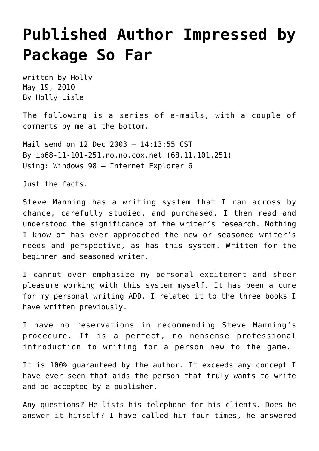## **[Published Author Impressed by](https://hollylisle.com/published-author-impressed-by-package-so-far/) [Package So Far](https://hollylisle.com/published-author-impressed-by-package-so-far/)**

written by Holly May 19, 2010 [By Holly Lisle](https://hollylisle.com)

The following is a series of e-mails, with a couple of comments by me at the bottom.

Mail send on 12 Dec 2003 – 14:13:55 CST By ip68-11-101-251.no.no.cox.net (68.11.101.251) Using: Windows 98 – Internet Explorer 6

Just the facts.

Steve Manning has a writing system that I ran across by chance, carefully studied, and purchased. I then read and understood the significance of the writer's research. Nothing I know of has ever approached the new or seasoned writer's needs and perspective, as has this system. Written for the beginner and seasoned writer.

I cannot over emphasize my personal excitement and sheer pleasure working with this system myself. It has been a cure for my personal writing ADD. I related it to the three books I have written previously.

I have no reservations in recommending Steve Manning's procedure. It is a perfect, no nonsense professional introduction to writing for a person new to the game.

It is 100% guaranteed by the author. It exceeds any concept I have ever seen that aids the person that truly wants to write and be accepted by a publisher.

Any questions? He lists his telephone for his clients. Does he answer it himself? I have called him four times, he answered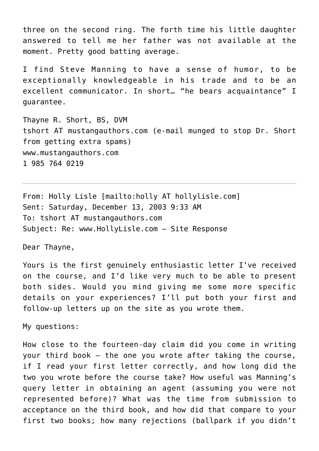three on the second ring. The forth time his little daughter answered to tell me her father was not available at the moment. Pretty good batting average.

I find Steve Manning to have a sense of humor, to be exceptionally knowledgeable in his trade and to be an excellent communicator. In short… "he bears acquaintance" I guarantee.

Thayne R. Short, BS, DVM tshort AT mustangauthors.com (e-mail munged to stop Dr. Short from getting extra spams) [www.mustangauthors.com](http://www.mustangauthors.com) 1 985 764 0219

From: Holly Lisle [mailto:holly AT hollylisle.com] Sent: Saturday, December 13, 2003 9:33 AM To: tshort AT mustangauthors.com Subject: Re: www.HollyLisle.com – Site Response

Dear Thayne,

Yours is the first genuinely enthusiastic letter I've received on the course, and I'd like very much to be able to present both sides. Would you mind giving me some more specific details on your experiences? I'll put both your first and follow-up letters up on the site as you wrote them.

My questions:

How close to the fourteen-day claim did you come in writing your third book — the one you wrote after taking the course, if I read your first letter correctly, and how long did the two you wrote before the course take? How useful was Manning's query letter in obtaining an agent (assuming you were not represented before)? What was the time from submission to acceptance on the third book, and how did that compare to your first two books; how many rejections (ballpark if you didn't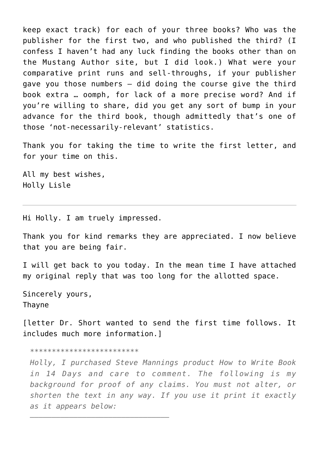keep exact track) for each of your three books? Who was the publisher for the first two, and who published the third? (I confess I haven't had any luck finding the books other than on the Mustang Author site, but I did look.) What were your comparative print runs and sell-throughs, if your publisher gave you those numbers — did doing the course give the third book extra … oomph, for lack of a more precise word? And if you're willing to share, did you get any sort of bump in your advance for the third book, though admittedly that's one of those 'not-necessarily-relevant' statistics.

Thank you for taking the time to write the first letter, and for your time on this.

All my best wishes, Holly Lisle

Hi Holly. I am truely impressed.

Thank you for kind remarks they are appreciated. I now believe that you are being fair.

I will get back to you today. In the mean time I have attached my original reply that was too long for the allotted space.

Sincerely yours, Thayne

[letter Dr. Short wanted to send the first time follows. It includes much more information.]

*\*\*\*\*\*\*\*\*\*\*\*\*\*\*\*\*\*\*\*\*\*\*\*\*\**

*———————————————————————————————–*

*Holly, I purchased Steve Mannings product How to Write Book in 14 Days and care to comment. The following is my background for proof of any claims. You must not alter, or shorten the text in any way. If you use it print it exactly as it appears below:*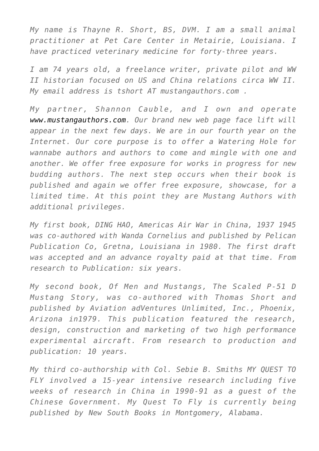*My name is Thayne R. Short, BS, DVM. I am a small animal practitioner at Pet Care Center in Metairie, Louisiana. I have practiced veterinary medicine for forty-three years.*

*I am 74 years old, a freelance writer, private pilot and WW II historian focused on US and China relations circa WW II. My email address is tshort AT mustangauthors.com .*

*My partner, Shannon Cauble, and I own and operate [www.mustangauthors.com](http://www.mustangauthors.com). Our brand new web page face lift will appear in the next few days. We are in our fourth year on the Internet. Our core purpose is to offer a Watering Hole for wannabe authors and authors to come and mingle with one and another. We offer free exposure for works in progress for new budding authors. The next step occurs when their book is published and again we offer free exposure, showcase, for a limited time. At this point they are Mustang Authors with additional privileges.*

*My first book, DING HAO, Americas Air War in China, 1937 1945 was co-authored with Wanda Cornelius and published by Pelican Publication Co, Gretna, Louisiana in 1980. The first draft was accepted and an advance royalty paid at that time. From research to Publication: six years.*

*My second book, Of Men and Mustangs, The Scaled P-51 D Mustang Story, was co-authored with Thomas Short and published by Aviation adVentures Unlimited, Inc., Phoenix, Arizona in1979. This publication featured the research, design, construction and marketing of two high performance experimental aircraft. From research to production and publication: 10 years.*

*My third co-authorship with Col. Sebie B. Smiths MY QUEST TO FLY involved a 15-year intensive research including five weeks of research in China in 1990-91 as a guest of the Chinese Government. My Quest To Fly is currently being published by New South Books in Montgomery, Alabama.*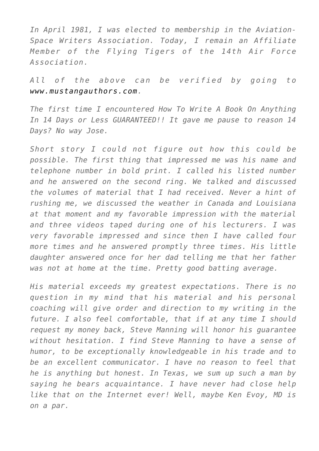*In April 1981, I was elected to membership in the Aviation-Space Writers Association. Today, I remain an Affiliate Member of the Flying Tigers of the 14th Air Force Association.*

*All of the above can be verified by going to [www.mustangauthors.com.](http://www.mustangauthors.com/)*

*The first time I encountered How To Write A Book On Anything In 14 Days or Less GUARANTEED!! It gave me pause to reason 14 Days? No way Jose.*

*Short story I could not figure out how this could be possible. The first thing that impressed me was his name and telephone number in bold print. I called his listed number and he answered on the second ring. We talked and discussed the volumes of material that I had received. Never a hint of rushing me, we discussed the weather in Canada and Louisiana at that moment and my favorable impression with the material and three videos taped during one of his lecturers. I was very favorable impressed and since then I have called four more times and he answered promptly three times. His little daughter answered once for her dad telling me that her father was not at home at the time. Pretty good batting average.*

*His material exceeds my greatest expectations. There is no question in my mind that his material and his personal coaching will give order and direction to my writing in the future. I also feel comfortable, that if at any time I should request my money back, Steve Manning will honor his guarantee without hesitation. I find Steve Manning to have a sense of humor, to be exceptionally knowledgeable in his trade and to be an excellent communicator. I have no reason to feel that he is anything but honest. In Texas, we sum up such a man by saying he bears acquaintance. I have never had close help like that on the Internet ever! Well, maybe Ken Evoy, MD is on a par.*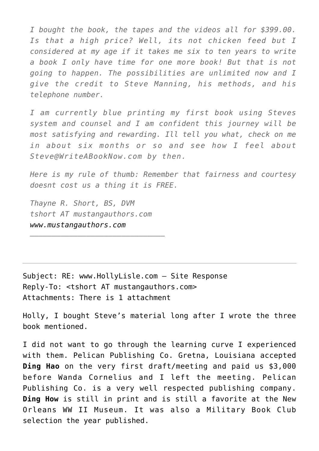*I bought the book, the tapes and the videos all for \$399.00. Is that a high price? Well, its not chicken feed but I considered at my age if it takes me six to ten years to write a book I only have time for one more book! But that is not going to happen. The possibilities are unlimited now and I give the credit to Steve Manning, his methods, and his telephone number.*

*I am currently blue printing my first book using Steves system and counsel and I am confident this journey will be most satisfying and rewarding. Ill tell you what, check on me in about six months or so and see how I feel about Steve@WriteABookNow.com by then.*

*Here is my rule of thumb: Remember that fairness and courtesy doesnt cost us a thing it is FREE.*

*Thayne R. Short, BS, DVM tshort AT mustangauthors.com [www.mustangauthors.com](http://www.mustangauthors.com/)*

*———————————————————————————————*

Subject: RE: www.HollyLisle.com – Site Response Reply-To: <tshort AT mustangauthors.com> Attachments: There is 1 attachment

Holly, I bought Steve's material long after I wrote the three book mentioned.

I did not want to go through the learning curve I experienced with them. Pelican Publishing Co. Gretna, Louisiana accepted **Ding Hao** on the very first draft/meeting and paid us \$3,000 before Wanda Cornelius and I left the meeting. Pelican Publishing Co. is a very well respected publishing company. **Ding How** is still in print and is still a favorite at the New Orleans WW II Museum. It was also a Military Book Club selection the year published.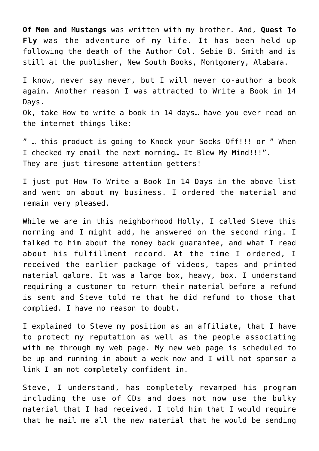**Of Men and Mustangs** was written with my brother. And, **Quest To Fly** was the adventure of my life. It has been held up following the death of the Author Col. Sebie B. Smith and is still at the publisher, New South Books, Montgomery, Alabama.

I know, never say never, but I will never co-author a book again. Another reason I was attracted to Write a Book in 14 Days. Ok, take How to write a book in 14 days… have you ever read on

the internet things like:

" … this product is going to Knock your Socks Off!!! or " When I checked my email the next morning… It Blew My Mind!!!". They are just tiresome attention getters!

I just put How To Write a Book In 14 Days in the above list and went on about my business. I ordered the material and remain very pleased.

While we are in this neighborhood Holly, I called Steve this morning and I might add, he answered on the second ring. I talked to him about the money back guarantee, and what I read about his fulfillment record. At the time I ordered, I received the earlier package of videos, tapes and printed material galore. It was a large box, heavy, box. I understand requiring a customer to return their material before a refund is sent and Steve told me that he did refund to those that complied. I have no reason to doubt.

I explained to Steve my position as an affiliate, that I have to protect my reputation as well as the people associating with me through my web page. My new web page is scheduled to be up and running in about a week now and I will not sponsor a link I am not completely confident in.

Steve, I understand, has completely revamped his program including the use of CDs and does not now use the bulky material that I had received. I told him that I would require that he mail me all the new material that he would be sending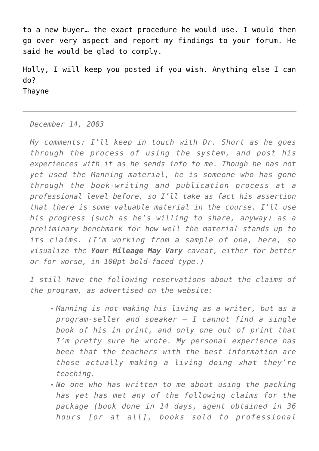to a new buyer… the exact procedure he would use. I would then go over very aspect and report my findings to your forum. He said he would be glad to comply.

Holly, I will keep you posted if you wish. Anything else I can do? Thayne

## *December 14, 2003*

*My comments: I'll keep in touch with Dr. Short as he goes through the process of using the system, and post his experiences with it as he sends info to me. Though he has not yet used the Manning material, he is someone who has gone through the book-writing and publication process at a professional level before, so I'll take as fact his assertion that there is some valuable material in the course. I'll use his progress (such as he's willing to share, anyway) as a preliminary benchmark for how well the material stands up to its claims. (I'm working from a sample of one, here, so visualize the Your Mileage May Vary caveat, either for better or for worse, in 100pt bold-faced type.)*

*I still have the following reservations about the claims of the program, as advertised on the website:*

- *Manning is not making his living as a writer, but as a program-seller and speaker — I cannot find a single book of his in print, and only one out of print that I'm pretty sure he wrote. My personal experience has been that the teachers with the best information are those actually making a living doing what they're teaching.*
- *No one who has written to me about using the packing has yet has met any of the following claims for the package (book done in 14 days, agent obtained in 36 hours [or at all], books sold to professional*